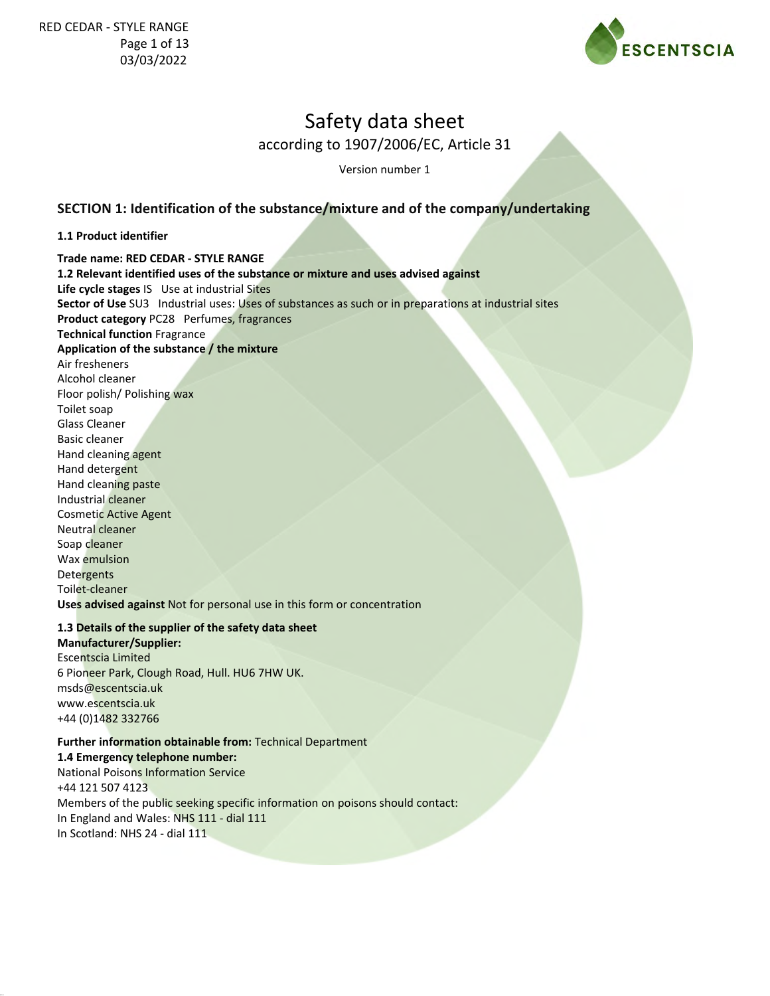

according to 1907/2006/EC, Article 31

Version number 1

### **SECTION 1: Identification of the substance/mixture and of the company/undertaking**

#### **1.1 Product identifier**

**Trade name: RED CEDAR - STYLE RANGE 1.2 Relevant identified uses of the substance or mixture and uses advised against Life cycle stages** IS Use at industrial Sites **Sector of Use** SU3 Industrial uses: Uses of substances as such or in preparations at industrial sites **Product category** PC28 Perfumes, fragrances **Technical function** Fragrance **Application of the substance / the mixture** Air fresheners Alcohol cleaner Floor polish/ Polishing wax Toilet soap Glass Cleaner Basic cleaner Hand cleaning agent Hand detergent Hand cleaning paste Industrial cleaner Cosmetic Active Agent Neutral cleaner Soap cleaner Wax emulsion **Detergents** Toilet-cleaner **Uses advised against** Not for personal use in this form or concentration

#### **1.3 Details of the supplier of the safety data sheet**

**Manufacturer/Supplier:** Escentscia Limited 6 Pioneer Park, Clough Road, Hull. HU6 7HW UK. msds@escentscia.uk www.escentscia.uk +44 (0)1482 332766

#### **Further information obtainable from:** Technical Department

**1.4 Emergency telephone number:**

National Poisons Information Service +44 121 507 4123 Members of the public seeking specific information on poisons should contact: In England and Wales: NHS 111 - dial 111 In Scotland: NHS 24 - dial 111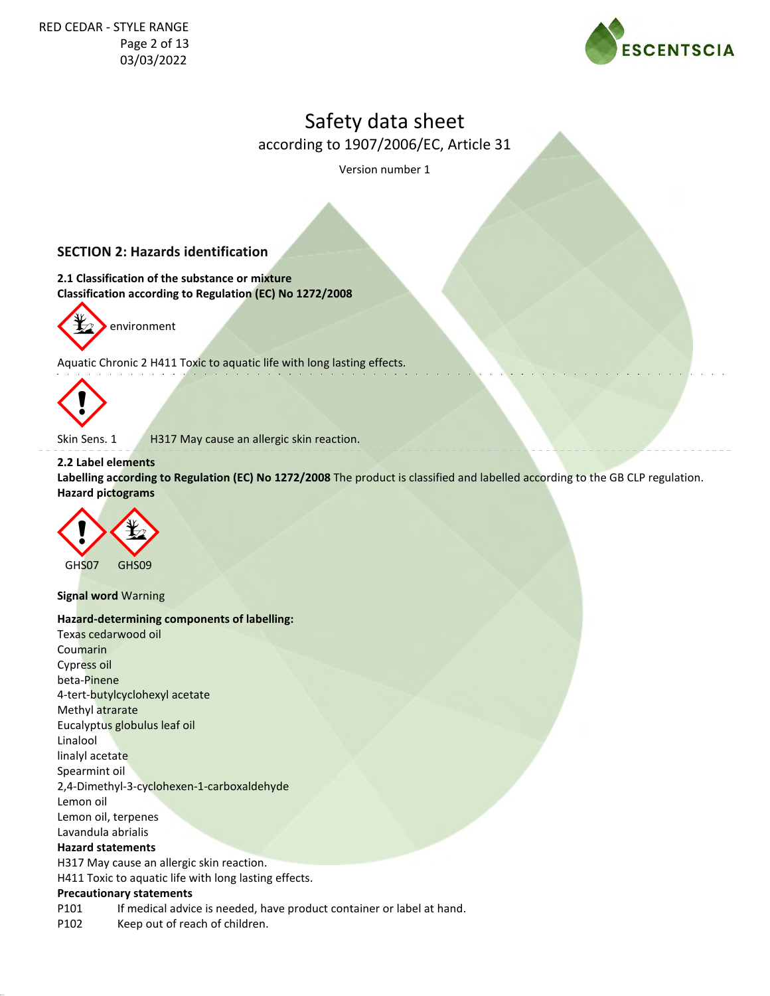

according to 1907/2006/EC, Article 31

Version number 1

## **SECTION 2: Hazards identification**

**2.1 Classification of the substance or mixture Classification according to Regulation (EC) No 1272/2008**



environment

Aquatic Chronic 2 H411 Toxic to aquatic life with long lasting effects.



Skin Sens. 1 H317 May cause an allergic skin reaction.

#### **2.2 Label elements**

**Labelling according to Regulation (EC) No 1272/2008** The product is classified and labelled according to the GB CLP regulation. **Hazard pictograms**



**Signal word** Warning

#### **Hazard-determining components of labelling:**

Texas cedarwood oil Coumarin Cypress oil beta-Pinene 4-tert-butylcyclohexyl acetate Methyl atrarate Eucalyptus globulus leaf oil Linalool linalyl acetate Spearmint oil 2,4-Dimethyl-3-cyclohexen-1-carboxaldehyde Lemon oil Lemon oil, terpenes Lavandula abrialis **Hazard statements** H317 May cause an allergic skin reaction. H411 Toxic to aquatic life with long lasting effects. **Precautionary statements**

P101 If medical advice is needed, have product container or label at hand.

P102 Keep out of reach of children.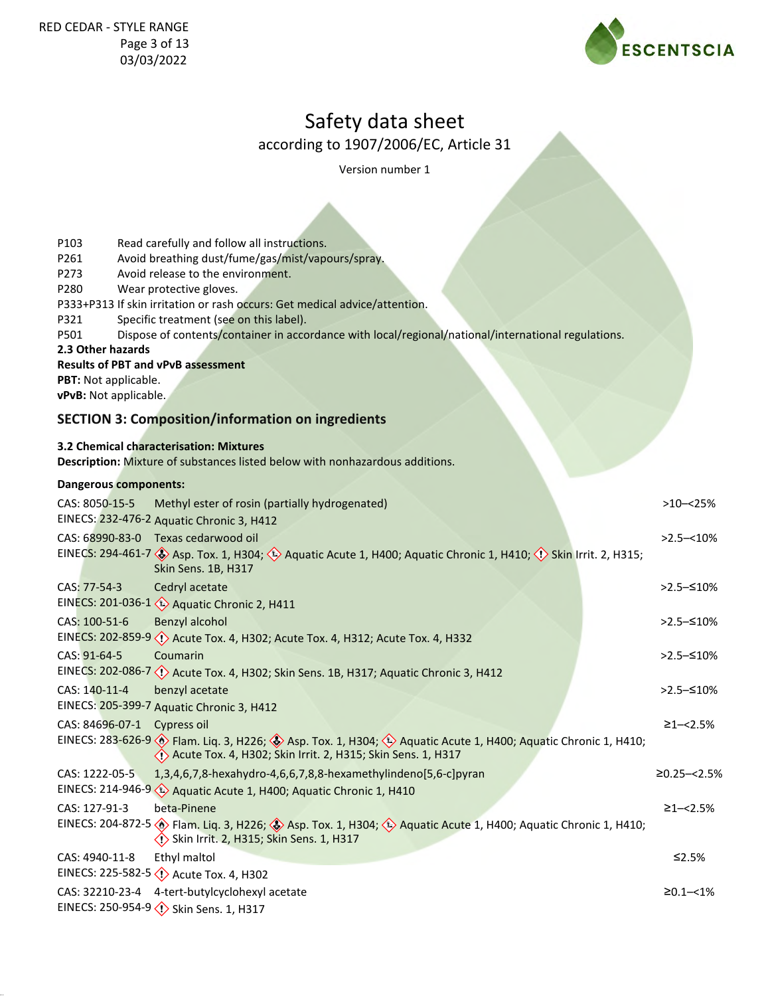

according to 1907/2006/EC, Article 31

Version number 1

| P103                  | Read carefully and follow all instructions.                                                                                                                                                                                     |                  |
|-----------------------|---------------------------------------------------------------------------------------------------------------------------------------------------------------------------------------------------------------------------------|------------------|
| P261                  | Avoid breathing dust/fume/gas/mist/vapours/spray.                                                                                                                                                                               |                  |
| P273<br>P280          | Avoid release to the environment.<br>Wear protective gloves.                                                                                                                                                                    |                  |
|                       | P333+P313 If skin irritation or rash occurs: Get medical advice/attention.                                                                                                                                                      |                  |
| P321                  | Specific treatment (see on this label).                                                                                                                                                                                         |                  |
| P501                  | Dispose of contents/container in accordance with local/regional/national/international regulations.                                                                                                                             |                  |
| 2.3 Other hazards     |                                                                                                                                                                                                                                 |                  |
|                       | <b>Results of PBT and vPvB assessment</b>                                                                                                                                                                                       |                  |
| PBT: Not applicable.  |                                                                                                                                                                                                                                 |                  |
| vPvB: Not applicable. |                                                                                                                                                                                                                                 |                  |
|                       | <b>SECTION 3: Composition/information on ingredients</b>                                                                                                                                                                        |                  |
|                       |                                                                                                                                                                                                                                 |                  |
|                       | <b>3.2 Chemical characterisation: Mixtures</b>                                                                                                                                                                                  |                  |
|                       | Description: Mixture of substances listed below with nonhazardous additions.                                                                                                                                                    |                  |
| Dangerous components: |                                                                                                                                                                                                                                 |                  |
| CAS: 8050-15-5        | Methyl ester of rosin (partially hydrogenated)                                                                                                                                                                                  | $>10 - 25%$      |
|                       | EINECS: 232-476-2 Aquatic Chronic 3, H412                                                                                                                                                                                       |                  |
|                       | CAS: 68990-83-0 Texas cedarwood oil                                                                                                                                                                                             | $>2.5 - 10\%$    |
|                       | EINECS: 294-461-7 $\diamondsuit$ Asp. Tox. 1, H304; $\diamondsuit$ Aquatic Acute 1, H400; Aquatic Chronic 1, H410; $\diamondsuit$ Skin Irrit. 2, H315;                                                                          |                  |
|                       | Skin Sens. 1B, H317                                                                                                                                                                                                             |                  |
| CAS: 77-54-3          | Cedryl acetate                                                                                                                                                                                                                  | $>2.5 - 510%$    |
|                       | EINECS: 201-036-1 < <a> <a> Aquatic Chronic 2, H411</a></a>                                                                                                                                                                     |                  |
| CAS: 100-51-6         | Benzyl alcohol                                                                                                                                                                                                                  | >2.5–≤10%        |
|                       | EINECS: 202-859-9 << <a>(</a> Acute Tox. 4, H302; Acute Tox. 4, H312; Acute Tox. 4, H332                                                                                                                                        |                  |
| CAS: 91-64-5          | Coumarin                                                                                                                                                                                                                        | >2.5–≤10%        |
|                       | EINECS: 202-086-7 < <a> <a> Acute Tox. 4, H302; Skin Sens. 1B, H317; Aquatic Chronic 3, H412</a></a>                                                                                                                            |                  |
| CAS: 140-11-4         |                                                                                                                                                                                                                                 | $>2.5 - 510%$    |
|                       | benzyl acetate                                                                                                                                                                                                                  |                  |
|                       | EINECS: 205-399-7 Aquatic Chronic 3, H412                                                                                                                                                                                       |                  |
| CAS: 84696-07-1       | Cypress oil                                                                                                                                                                                                                     | $\geq$ 1-<2.5%   |
|                       | EINECS: 283-626-9 $\leftrightarrow$ Flam. Lig. 3, H226; $\leftrightarrow$ Asp. Tox. 1, H304; $\leftrightarrow$ Aquatic Acute 1, H400; Aquatic Chronic 1, H410;<br>◇ Acute Tox. 4, H302; Skin Irrit. 2, H315; Skin Sens. 1, H317 |                  |
|                       |                                                                                                                                                                                                                                 |                  |
| CAS: 1222-05-5        | 1,3,4,6,7,8-hexahydro-4,6,6,7,8,8-hexamethylindeno[5,6-c]pyran                                                                                                                                                                  | $≥0.25 - < 2.5%$ |
|                       | EINECS: 214-946-9 (1) Aquatic Acute 1, H400; Aquatic Chronic 1, H410                                                                                                                                                            |                  |
| CAS: 127-91-3         | beta-Pinene                                                                                                                                                                                                                     | $≥1 - < 2.5%$    |
|                       | EINECS: 204-872-5 > Flam. Liq. 3, H226; > Asp. Tox. 1, H304; + Aquatic Acute 1, H400; Aquatic Chronic 1, H410;<br>Skin Irrit. 2, H315; Skin Sens. 1, H317                                                                       |                  |
|                       |                                                                                                                                                                                                                                 |                  |
| CAS: 4940-11-8        | Ethyl maltol                                                                                                                                                                                                                    | ≤2.5%            |
|                       |                                                                                                                                                                                                                                 |                  |
|                       | CAS: 32210-23-4 4-tert-butylcyclohexyl acetate                                                                                                                                                                                  | $\geq 0.1 - 1\%$ |
|                       | EINECS: 250-954-9 (1) Skin Sens. 1, H317                                                                                                                                                                                        |                  |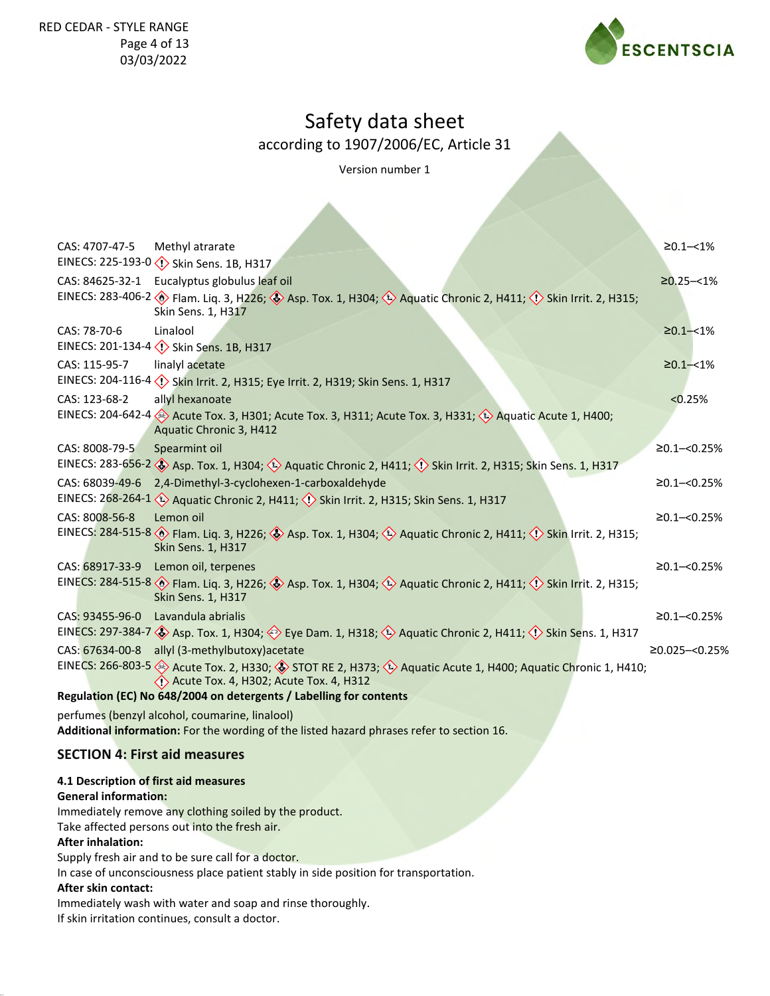

according to 1907/2006/EC, Article 31

Version number 1

| CAS: 4707-47-5                                                                                                                             | Methyl atrarate                                                                                                                                                                          | $≥0.1 - < 1\%$    |  |  |
|--------------------------------------------------------------------------------------------------------------------------------------------|------------------------------------------------------------------------------------------------------------------------------------------------------------------------------------------|-------------------|--|--|
|                                                                                                                                            | EINECS: 225-193-0 (1) Skin Sens. 1B, H317                                                                                                                                                |                   |  |  |
| CAS: 84625-32-1                                                                                                                            | Eucalyptus globulus leaf oil                                                                                                                                                             | $\geq 0.25 - 1\%$ |  |  |
|                                                                                                                                            | EINECS: 283-406-2 Blam. Liq. 3, H226; Sasp. Tox. 1, H304; Saquatic Chronic 2, H411; (1) Skin Irrit. 2, H315;<br>Skin Sens. 1, H317                                                       |                   |  |  |
| CAS: 78-70-6                                                                                                                               | Linalool                                                                                                                                                                                 | $\geq 0.1 - 1\%$  |  |  |
|                                                                                                                                            | EINECS: 201-134-4 <>> <>> Skin Sens. 1B, H317                                                                                                                                            |                   |  |  |
| CAS: 115-95-7                                                                                                                              | linalyl acetate                                                                                                                                                                          | $\geq 0.1 - 1\%$  |  |  |
|                                                                                                                                            | EINECS: 204-116-4 < <a>(</a> Skin Irrit. 2, H315; Eye Irrit. 2, H319; Skin Sens. 1, H317                                                                                                 |                   |  |  |
| CAS: 123-68-2                                                                                                                              | allyl hexanoate                                                                                                                                                                          | < 0.25%           |  |  |
|                                                                                                                                            | EINECS: 204-642-4 Acute Tox. 3, H301; Acute Tox. 3, H311; Acute Tox. 3, H331; 4 Aquatic Acute 1, H400;<br>Aquatic Chronic 3, H412                                                        |                   |  |  |
| CAS: 8008-79-5                                                                                                                             | Spearmint oil                                                                                                                                                                            | $≥0.1 - <0.25%$   |  |  |
|                                                                                                                                            | EINECS: 283-656-2 Asp. Tox. 1, H304; Aquatic Chronic 2, H411; $\Diamond$ Skin Irrit. 2, H315; Skin Sens. 1, H317                                                                         |                   |  |  |
| CAS: 68039-49-6                                                                                                                            | 2,4-Dimethyl-3-cyclohexen-1-carboxaldehyde                                                                                                                                               | $≥0.1 - <0.25%$   |  |  |
|                                                                                                                                            | EINECS: 268-264-1 < <a> Aquatic Chronic 2, H411; <a> <a> <a> Skin Irrit. 2, H315; Skin Sens. 1, H317</a></a></a></a>                                                                     |                   |  |  |
| CAS: 8008-56-8                                                                                                                             | Lemon oil                                                                                                                                                                                | $≥0.1 - <0.25%$   |  |  |
|                                                                                                                                            | EINECS: 284-515-8 > Flam. Liq. 3, H226; > Asp. Tox. 1, H304; $\leftrightarrow$ Aquatic Chronic 2, H411; $\leftrightarrow$ Skin Irrit. 2, H315;<br>Skin Sens. 1, H317                     |                   |  |  |
|                                                                                                                                            | CAS: 68917-33-9 Lemon oil, terpenes                                                                                                                                                      | $≥0.1 - <0.25%$   |  |  |
|                                                                                                                                            | EINECS: 284-515-8 > Flam. Liq. 3, H226; > Asp. Tox. 1, H304; > Aquatic Chronic 2, H411; <> Skin Irrit. 2, H315;<br><b>Skin Sens. 1, H317</b>                                             |                   |  |  |
|                                                                                                                                            | CAS: 93455-96-0 Lavandula abrialis                                                                                                                                                       | $≥0.1 - <0.25%$   |  |  |
|                                                                                                                                            | EINECS: 297-384-7 Sp. Tox. 1, H304; Seye Dam. 1, H318; Sp. Aquatic Chronic 2, H411; O Skin Sens. 1, H317                                                                                 |                   |  |  |
|                                                                                                                                            | CAS: 67634-00-8 allyl (3-methylbutoxy) acetate                                                                                                                                           | ≥0.025 -< 0.25%   |  |  |
|                                                                                                                                            | EINECS: 266-803-5 $\otimes$ Acute Tox. 2, H330; $\otimes$ STOT RE 2, H373; $\otimes$ Aquatic Acute 1, H400; Aquatic Chronic 1, H410;<br>$\langle$ Acute Tox. 4, H302; Acute Tox. 4, H312 |                   |  |  |
|                                                                                                                                            | Regulation (EC) No 648/2004 on detergents / Labelling for contents                                                                                                                       |                   |  |  |
|                                                                                                                                            | perfumes (benzyl alcohol, coumarine, linalool)                                                                                                                                           |                   |  |  |
|                                                                                                                                            | Additional information: For the wording of the listed hazard phrases refer to section 16.                                                                                                |                   |  |  |
| <b>SECTION 4: First aid measures</b>                                                                                                       |                                                                                                                                                                                          |                   |  |  |
| 4.1 Description of first aid measures                                                                                                      |                                                                                                                                                                                          |                   |  |  |
| <b>General information:</b>                                                                                                                |                                                                                                                                                                                          |                   |  |  |
|                                                                                                                                            | Immediately remove any clothing soiled by the product.                                                                                                                                   |                   |  |  |
|                                                                                                                                            | Take affected persons out into the fresh air.                                                                                                                                            |                   |  |  |
| <b>After inhalation:</b>                                                                                                                   |                                                                                                                                                                                          |                   |  |  |
| Supply fresh air and to be sure call for a doctor.<br>In case of unconsciousness place patient stably in side position for transportation. |                                                                                                                                                                                          |                   |  |  |
| After skin contact:                                                                                                                        |                                                                                                                                                                                          |                   |  |  |
|                                                                                                                                            | Immediately wash with water and soap and rinse thoroughly.                                                                                                                               |                   |  |  |

If skin irritation continues, consult a doctor.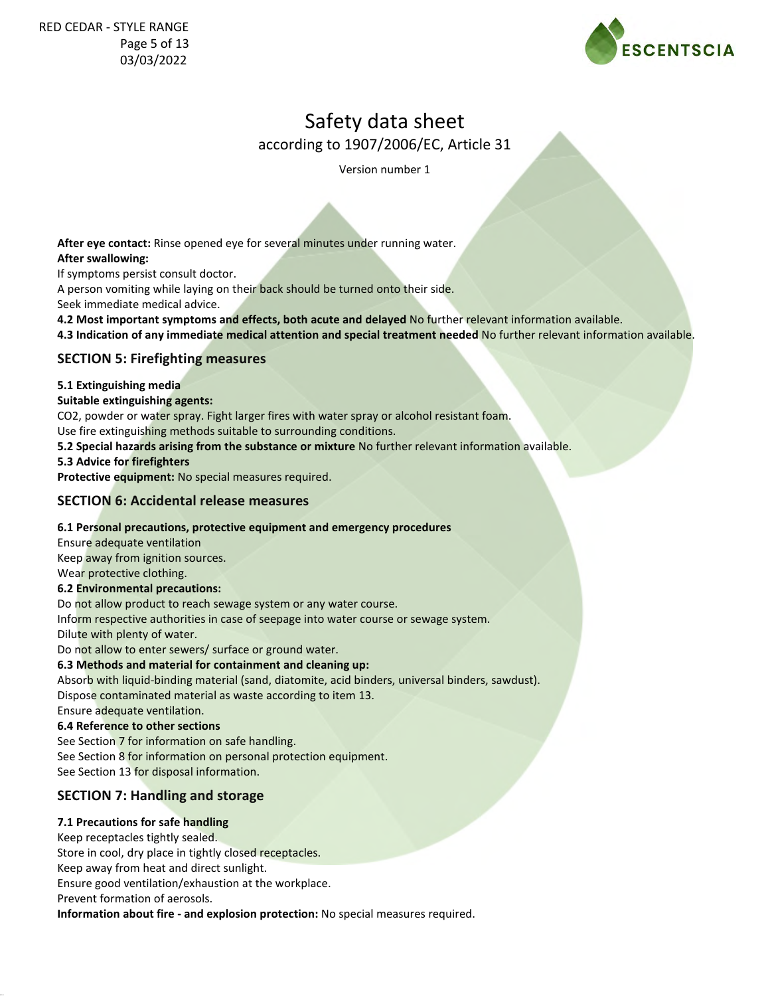

according to 1907/2006/EC, Article 31

Version number 1

**After eye contact:** Rinse opened eye for several minutes under running water. **After swallowing:**

If symptoms persist consult doctor.

A person vomiting while laying on their back should be turned onto their side. Seek immediate medical advice.

**4.2 Most important symptoms and effects, both acute and delayed** No further relevant information available.

**4.3 Indication of any immediate medical attention and special treatment needed** No further relevant information available.

### **SECTION 5: Firefighting measures**

#### **5.1 Extinguishing media**

#### **Suitable extinguishing agents:**

CO2, powder or water spray. Fight larger fires with water spray or alcohol resistant foam.

Use fire extinguishing methods suitable to surrounding conditions.

**5.2 Special hazards arising from the substance or mixture** No further relevant information available.

**5.3 Advice for firefighters**

**Protective equipment:** No special measures required.

### **SECTION 6: Accidental release measures**

#### **6.1 Personal precautions, protective equipment and emergency procedures**

Ensure adequate ventilation Keep away from ignition sources. Wear protective clothing.

#### **6.2 Environmental precautions:**

Do not allow product to reach sewage system or any water course.

Inform respective authorities in case of seepage into water course or sewage system.

Dilute with plenty of water.

Do not allow to enter sewers/ surface or ground water.

#### **6.3 Methods and material for containment and cleaning up:**

Absorb with liquid-binding material (sand, diatomite, acid binders, universal binders, sawdust).

Dispose contaminated material as waste according to item 13.

Ensure adequate ventilation.

## **6.4 Reference to other sections**

See Section 7 for information on safe handling. See Section 8 for information on personal protection equipment. See Section 13 for disposal information.

## **SECTION 7: Handling and storage**

## **7.1 Precautions for safe handling**

Keep receptacles tightly sealed. Store in cool, dry place in tightly closed receptacles. Keep away from heat and direct sunlight. Ensure good ventilation/exhaustion at the workplace. Prevent formation of aerosols. **Information about fire - and explosion protection:** No special measures required.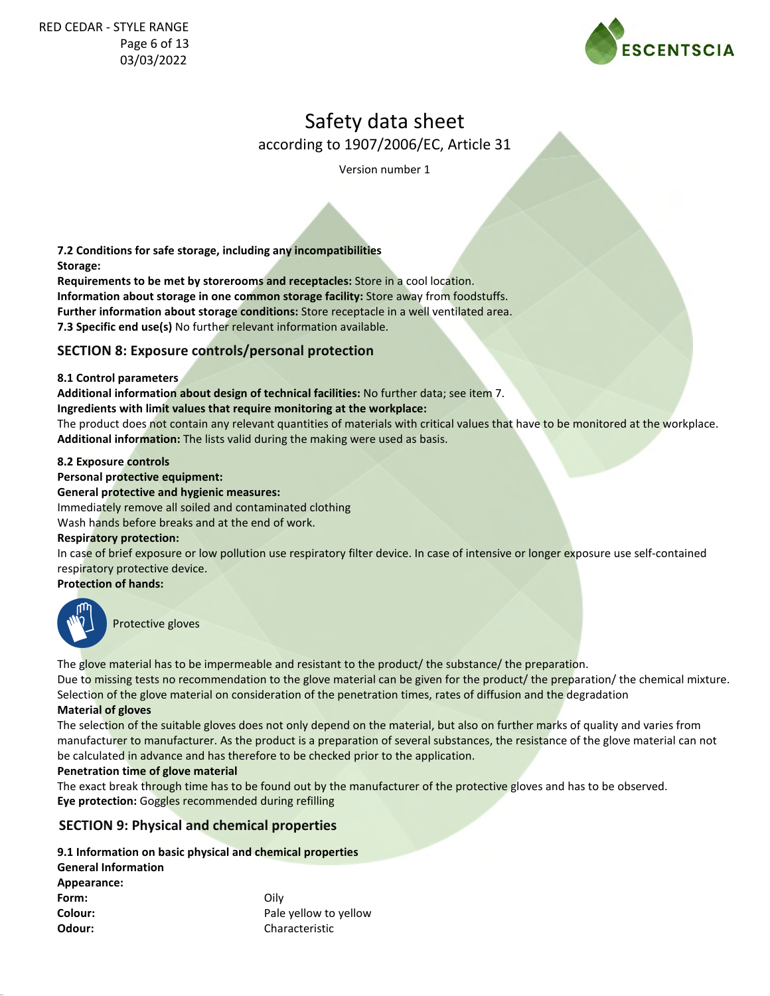

according to 1907/2006/EC, Article 31

Version number 1

**7.2 Conditions for safe storage, including any incompatibilities Storage:**

**Requirements to be met by storerooms and receptacles:** Store in a cool location. **Information about storage in one common storage facility:** Store away from foodstuffs. **Further information about storage conditions:** Store receptacle in a well ventilated area. **7.3 Specific end use(s)** No further relevant information available.

### **SECTION 8: Exposure controls/personal protection**

#### **8.1 Control parameters**

**Additional information about design of technical facilities:** No further data; see item 7. **Ingredients with limit values that require monitoring at the workplace:**

The product does not contain any relevant quantities of materials with critical values that have to be monitored at the workplace. **Additional information:** The lists valid during the making were used as basis.

#### **8.2 Exposure controls**

### **Personal protective equipment:**

**General protective and hygienic measures:**

Immediately remove all soiled and contaminated clothing

Wash hands before breaks and at the end of work.

#### **Respiratory protection:**

In case of brief exposure or low pollution use respiratory filter device. In case of intensive or longer exposure use self-contained respiratory protective device.

**Protection of hands:**



Protective gloves

The glove material has to be impermeable and resistant to the product/ the substance/ the preparation.

Due to missing tests no recommendation to the glove material can be given for the product/ the preparation/ the chemical mixture. Selection of the glove material on consideration of the penetration times, rates of diffusion and the degradation

#### **Material of gloves**

The selection of the suitable gloves does not only depend on the material, but also on further marks of quality and varies from manufacturer to manufacturer. As the product is a preparation of several substances, the resistance of the glove material can not be calculated in advance and has therefore to be checked prior to the application.

#### **Penetration time of glove material**

The exact break through time has to be found out by the manufacturer of the protective gloves and has to be observed. **Eye protection:** Goggles recommended during refilling

## **SECTION 9: Physical and chemical properties**

**9.1 Information on basic physical and chemical properties**

| Pale yellow to yellow |
|-----------------------|
| Characteristic        |
|                       |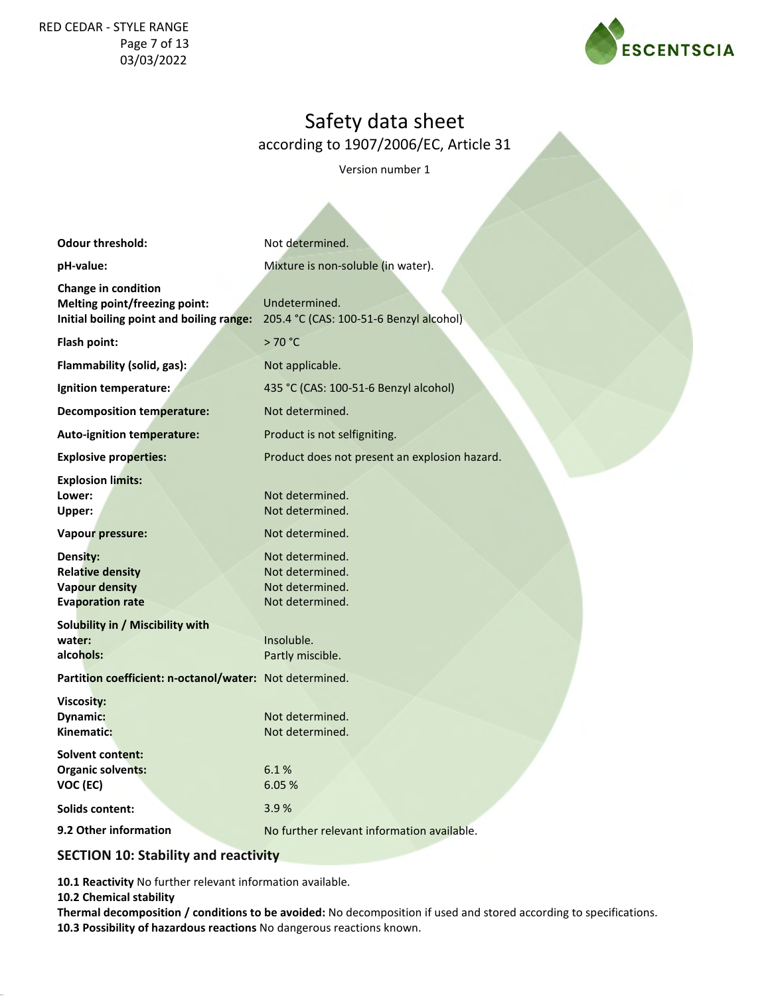### RED CEDAR - STYLE RANGE Page 7 of 13 03/03/2022



## Safety data sheet

according to 1907/2006/EC, Article 31

Version number 1

| <b>Odour threshold:</b>                                                                                 | Not determined.                                                          |
|---------------------------------------------------------------------------------------------------------|--------------------------------------------------------------------------|
| pH-value:                                                                                               | Mixture is non-soluble (in water).                                       |
| Change in condition<br><b>Melting point/freezing point:</b><br>Initial boiling point and boiling range: | Undetermined.<br>205.4 °C (CAS: 100-51-6 Benzyl alcohol)                 |
| Flash point:                                                                                            | >70 °C                                                                   |
| Flammability (solid, gas):                                                                              | Not applicable.                                                          |
| Ignition temperature:                                                                                   | 435 °C (CAS: 100-51-6 Benzyl alcohol)                                    |
| <b>Decomposition temperature:</b>                                                                       | Not determined.                                                          |
| <b>Auto-ignition temperature:</b>                                                                       | Product is not selfigniting.                                             |
| <b>Explosive properties:</b>                                                                            | Product does not present an explosion hazard.                            |
| <b>Explosion limits:</b><br>Lower:<br>Upper:                                                            | Not determined.<br>Not determined.                                       |
| Vapour pressure:                                                                                        | Not determined.                                                          |
| Density:<br><b>Relative density</b><br><b>Vapour density</b><br><b>Evaporation rate</b>                 | Not determined.<br>Not determined.<br>Not determined.<br>Not determined. |
| Solubility in / Miscibility with<br>water:<br>alcohols:                                                 | Insoluble.<br>Partly miscible.                                           |
| Partition coefficient: n-octanol/water: Not determined.                                                 |                                                                          |
| Viscosity:<br>Dynamic:<br>Kinematic:                                                                    | Not determined.<br>Not determined.                                       |
| <b>Solvent content:</b><br><b>Organic solvents:</b><br>VOC (EC)                                         | 6.1%<br>6.05 %                                                           |
| <b>Solids content:</b>                                                                                  | 3.9%                                                                     |
| 9.2 Other information                                                                                   | No further relevant information available.                               |

## **SECTION 10: Stability and reactivity**

**10.1 Reactivity** No further relevant information available.

**10.2 Chemical stability**

**Thermal decomposition / conditions to be avoided:** No decomposition if used and stored according to specifications. **10.3 Possibility of hazardous reactions** No dangerous reactions known.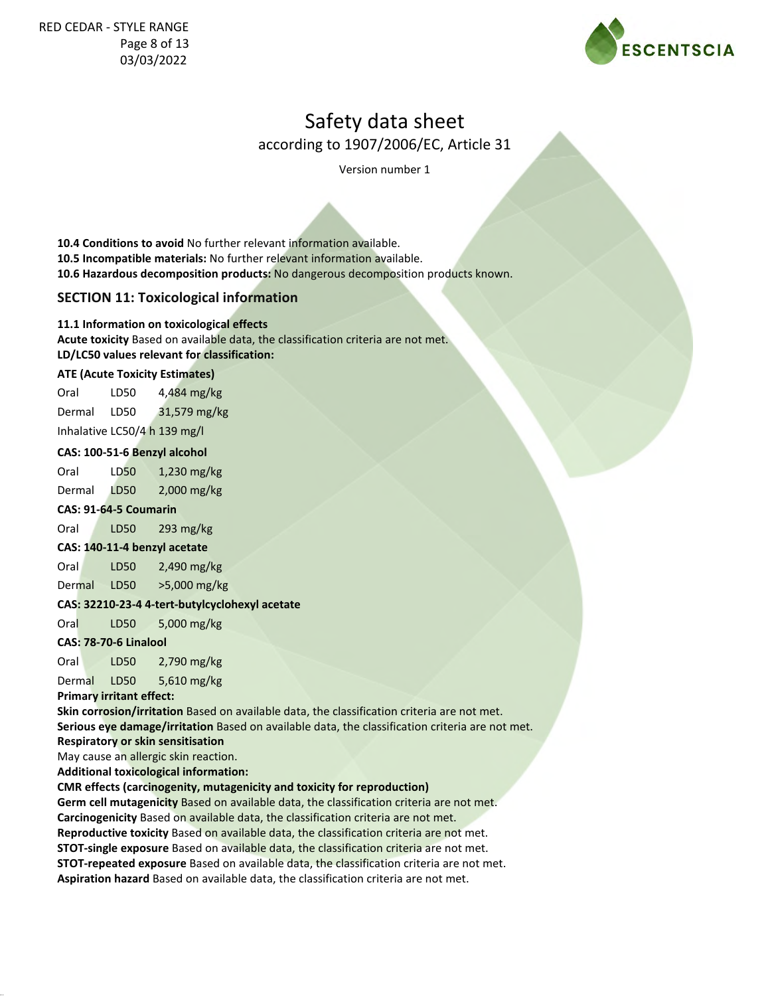

according to 1907/2006/EC, Article 31

Version number 1

**10.4 Conditions to avoid** No further relevant information available. **10.5 Incompatible materials:** No further relevant information available. **10.6 Hazardous decomposition products:** No dangerous decomposition products known.

## **SECTION 11: Toxicological information**

#### **11.1 Information on toxicological effects**

**Acute toxicity** Based on available data, the classification criteria are not met. **LD/LC50 values relevant for classification:**

#### **ATE (Acute Toxicity Estimates)**

Oral LD50 Dermal LD50 4,484 mg/kg 31,579 mg/kg Inhalative LC50/4 h 139 mg/l

#### **CAS: 100-51-6 Benzyl alcohol**

Oral LD50 Dermal LD50 1,230 mg/kg 2,000 mg/kg

#### **CAS: 91-64-5 Coumarin**

Oral LD50 293 mg/kg

#### **CAS: 140-11-4 benzyl acetate**

Oral LD50 2,490 mg/kg

Dermal LD50 >5,000 mg/kg

#### **CAS: 32210-23-4 4-tert-butylcyclohexyl acetate**

Oral LD50 5,000 mg/kg

#### **CAS: 78-70-6 Linalool**

Oral LD50 2,790 mg/kg

Dermal LD50 5,610 mg/kg

**Primary irritant effect:**

**Skin corrosion/irritation** Based on available data, the classification criteria are not met. **Serious eye damage/irritation** Based on available data, the classification criteria are not met.

#### **Respiratory or skin sensitisation**

May cause an allergic skin reaction.

**Additional toxicological information:**

#### **CMR effects (carcinogenity, mutagenicity and toxicity for reproduction)**

**Germ cell mutagenicity** Based on available data, the classification criteria are not met. **Carcinogenicity** Based on available data, the classification criteria are not met. **Reproductive toxicity** Based on available data, the classification criteria are not met. **STOT-single exposure** Based on available data, the classification criteria are not met. **STOT-repeated exposure** Based on available data, the classification criteria are not met. **Aspiration hazard** Based on available data, the classification criteria are not met.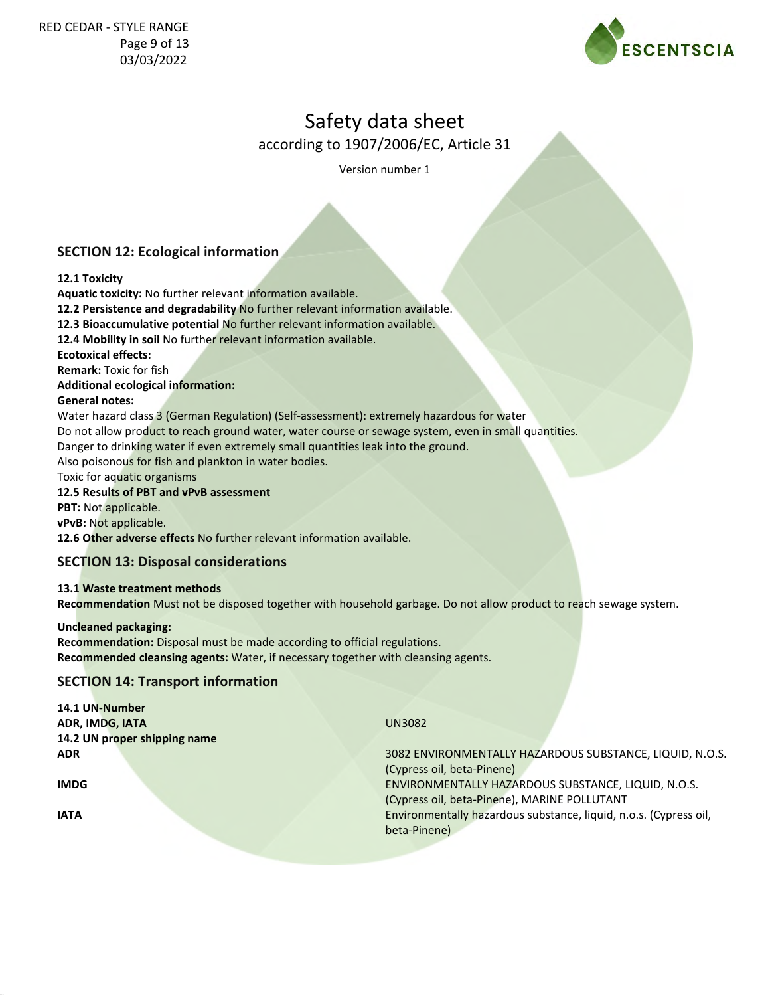

according to 1907/2006/EC, Article 31

Version number 1

## **SECTION 12: Ecological information**

#### **12.1 Toxicity**

**Aquatic toxicity:** No further relevant information available.

**12.2 Persistence and degradability** No further relevant information available.

**12.3 Bioaccumulative potential** No further relevant information available.

**12.4 Mobility in soil** No further relevant information available.

**Ecotoxical effects:**

**Remark:** Toxic for fish

#### **Additional ecological information:**

#### **General notes:**

Water hazard class 3 (German Regulation) (Self-assessment): extremely hazardous for water Do not allow product to reach ground water, water course or sewage system, even in small quantities. Danger to drinking water if even extremely small quantities leak into the ground. Also poisonous for fish and plankton in water bodies.

Toxic for aquatic organisms

#### **12.5 Results of PBT and vPvB assessment**

**PBT:** Not applicable.

**vPvB:** Not applicable.

**12.6 Other adverse effects** No further relevant information available.

#### **SECTION 13: Disposal considerations**

**13.1 Waste treatment methods Recommendation** Must not be disposed together with household garbage. Do not allow product to reach sewage system.

**Uncleaned packaging: Recommendation:** Disposal must be made according to official regulations. **Recommended cleansing agents:** Water, if necessary together with cleansing agents.

#### **SECTION 14: Transport information**

| 14.1 UN-Number               |                                                                   |
|------------------------------|-------------------------------------------------------------------|
| ADR, IMDG, IATA              | <b>UN3082</b>                                                     |
| 14.2 UN proper shipping name |                                                                   |
| <b>ADR</b>                   | 3082 ENVIRONMENTALLY HAZARDOUS SUBSTANCE, LIQUID, N.O.S.          |
|                              | (Cypress oil, beta-Pinene)                                        |
| <b>IMDG</b>                  | ENVIRONMENTALLY HAZARDOUS SUBSTANCE, LIQUID, N.O.S.               |
|                              | (Cypress oil, beta-Pinene), MARINE POLLUTANT                      |
| <b>IATA</b>                  | Environmentally hazardous substance, liquid, n.o.s. (Cypress oil, |
|                              | beta-Pinene)                                                      |
|                              |                                                                   |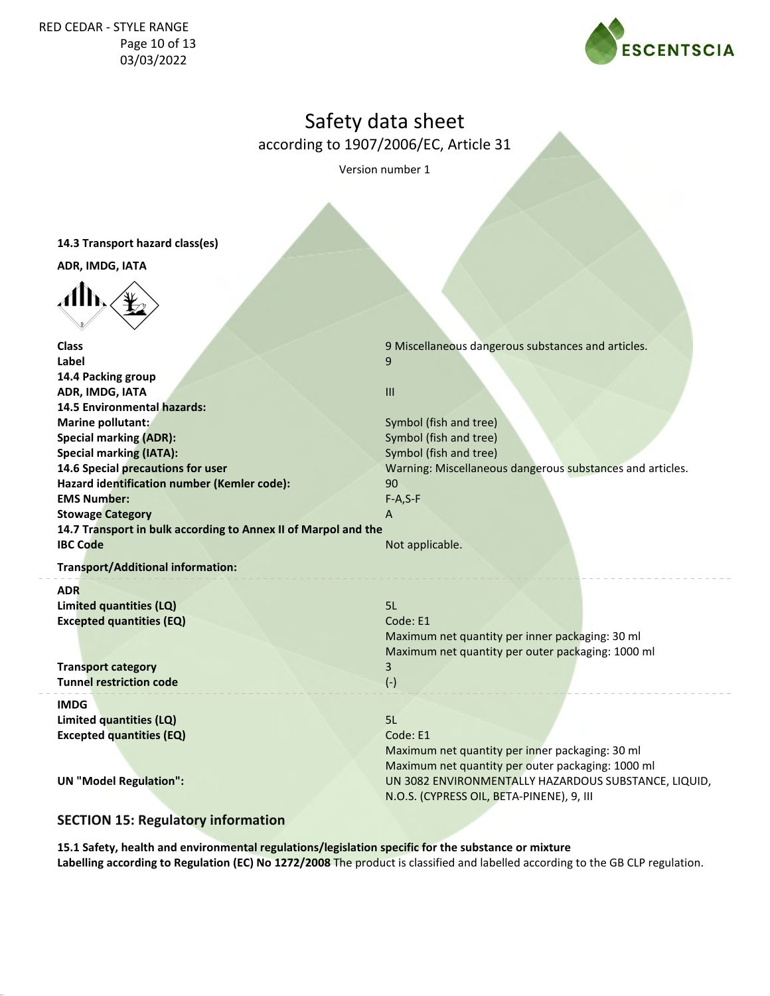### RED CEDAR - STYLE RANGE Page 10 of 13 03/03/2022



## Safety data sheet

according to 1907/2006/EC, Article 31

Version number 1

**14.3 Transport hazard class(es)**

**ADR, IMDG, IATA**



| <b>Class</b>                                                   | 9 Miscellaneous dangerous substances and articles.        |
|----------------------------------------------------------------|-----------------------------------------------------------|
| Label                                                          | 9                                                         |
| 14.4 Packing group                                             |                                                           |
| ADR, IMDG, IATA                                                | $\mathbf{H}$                                              |
| 14.5 Environmental hazards:                                    |                                                           |
| Marine pollutant:                                              | Symbol (fish and tree)                                    |
| <b>Special marking (ADR):</b>                                  | Symbol (fish and tree)                                    |
| <b>Special marking (IATA):</b>                                 | Symbol (fish and tree)                                    |
| 14.6 Special precautions for user                              | Warning: Miscellaneous dangerous substances and articles. |
| Hazard identification number (Kemler code):                    | 90                                                        |
| <b>EMS Number:</b>                                             | $F-A, S-F$                                                |
| <b>Stowage Category</b>                                        | A                                                         |
| 14.7 Transport in bulk according to Annex II of Marpol and the |                                                           |
| <b>IBC Code</b>                                                | Not applicable.                                           |
| <b>Transport/Additional information:</b>                       |                                                           |
| <b>ADR</b>                                                     |                                                           |
| Limited quantities (LQ)                                        | 5L                                                        |
| <b>Excepted quantities (EQ)</b>                                | Code: E1                                                  |
|                                                                | Maximum net quantity per inner packaging: 30 ml           |
|                                                                | Maximum net quantity per outer packaging: 1000 ml         |
| <b>Transport category</b>                                      | 3                                                         |
| <b>Tunnel restriction code</b>                                 | $(-)$                                                     |
| <b>IMDG</b>                                                    |                                                           |
| Limited quantities (LQ)                                        | 5L                                                        |
| <b>Excepted quantities (EQ)</b>                                | Code: E1                                                  |
|                                                                | Maximum net quantity per inner packaging: 30 ml           |
|                                                                | Maximum net quantity per outer packaging: 1000 ml         |
| <b>UN "Model Regulation":</b>                                  | UN 3082 ENVIRONMENTALLY HAZARDOUS SUBSTANCE, LIQUID,      |
|                                                                | N.O.S. (CYPRESS OIL, BETA-PINENE), 9, III                 |
|                                                                |                                                           |

## **SECTION 15: Regulatory information**

**15.1 Safety, health and environmental regulations/legislation specific for the substance or mixture Labelling according to Regulation (EC) No 1272/2008** The product is classified and labelled according to the GB CLP regulation.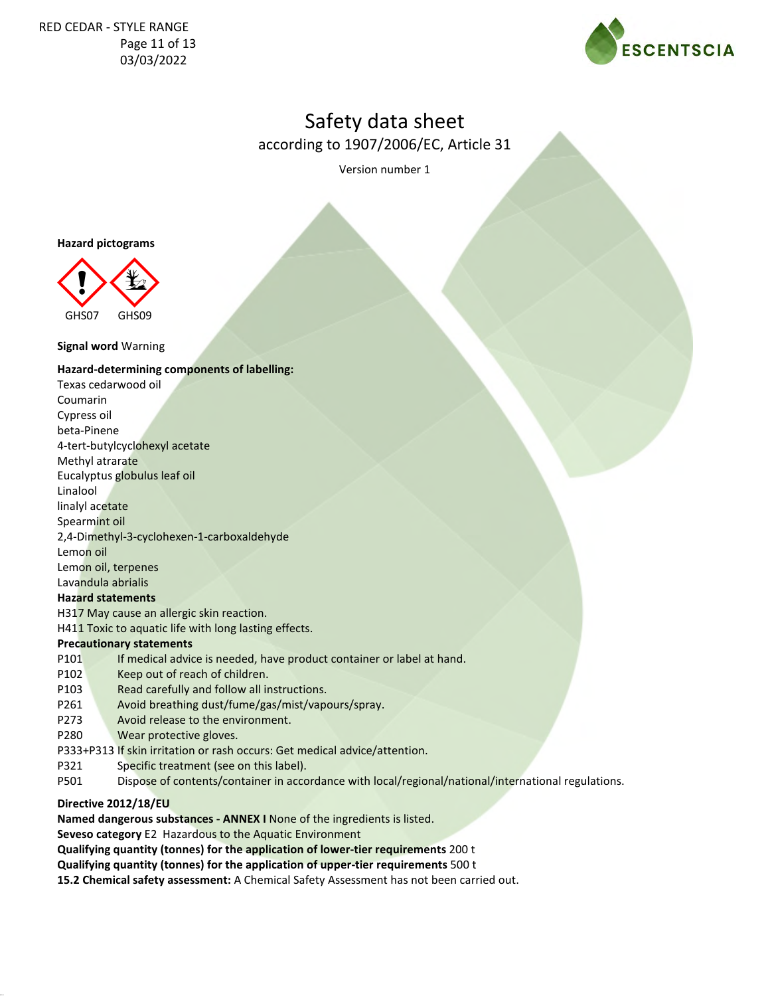

according to 1907/2006/EC, Article 31

Version number 1

#### **Hazard pictograms**



#### **Signal word** Warning

#### **Hazard-determining components of labelling:**

Texas cedarwood oil Coumarin Cypress oil beta-Pinene 4-tert-butylcyclohexyl acetate Methyl atrarate Eucalyptus globulus leaf oil Linalool linalyl acetate Spearmint oil 2,4-Dimethyl-3-cyclohexen-1-carboxaldehyde Lemon oil Lemon oil, terpenes Lavandula abrialis **Hazard statements** H317 May cause an allergic skin reaction. H411 Toxic to aquatic life with long lasting effects.

### **Precautionary statements**

P101 If medical advice is needed, have product container or label at hand.

- P102 Keep out of reach of children.
- P103 Read carefully and follow all instructions.
- P261 Avoid breathing dust/fume/gas/mist/vapours/spray.
- P273 Avoid release to the environment.
- P280 Wear protective gloves.
- P333+P313 If skin irritation or rash occurs: Get medical advice/attention.
- P321 Specific treatment (see on this label).
- P501 Dispose of contents/container in accordance with local/regional/national/international regulations.

#### **Directive 2012/18/EU**

**Named dangerous substances - ANNEX I** None of the ingredients is listed.

**Seveso category** E2 Hazardous to the Aquatic Environment

**Qualifying quantity (tonnes) for the application of lower-tier requirements** 200 t

**Qualifying quantity (tonnes) for the application of upper-tier requirements** 500 t

**15.2 Chemical safety assessment:** A Chemical Safety Assessment has not been carried out.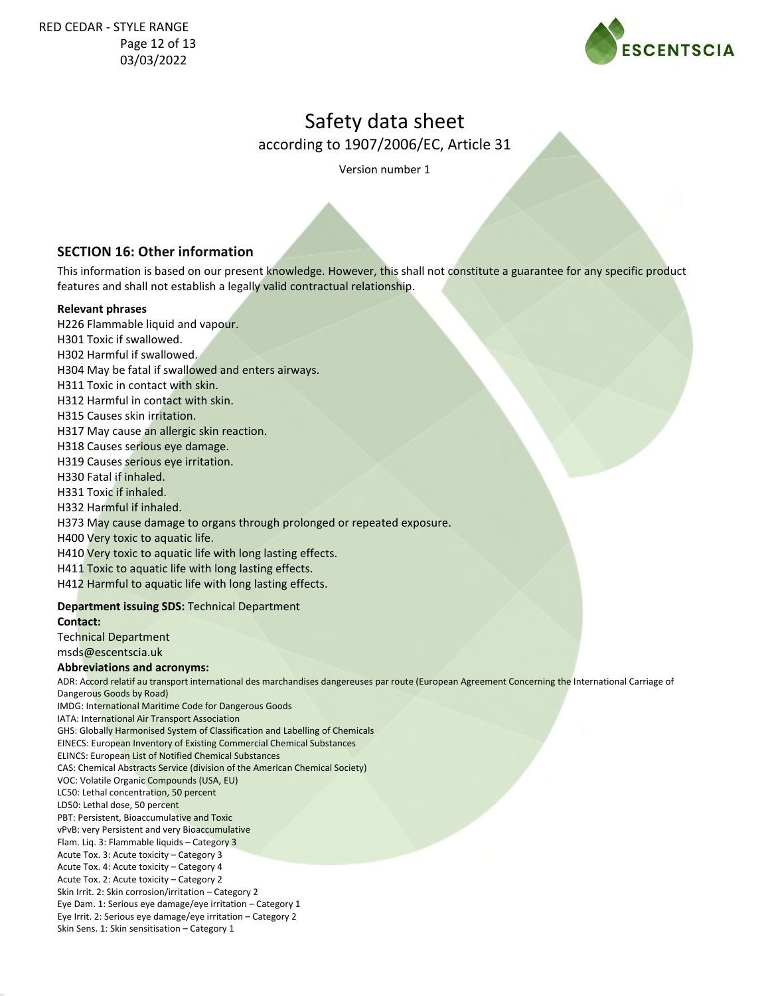

according to 1907/2006/EC, Article 31

Version number 1

## **SECTION 16: Other information**

This information is based on our present knowledge. However, this shall not constitute a guarantee for any specific product features and shall not establish a legally valid contractual relationship.

#### **Relevant phrases**

- H226 Flammable liquid and vapour.
- H301 Toxic if swallowed.
- H302 Harmful if swallowed.
- H304 May be fatal if swallowed and enters airways.
- H311 Toxic in contact with skin.
- H312 Harmful in contact with skin.
- H315 Causes skin irritation.
- H317 May cause an allergic skin reaction.
- H318 Causes serious eye damage.
- H319 Causes serious eye irritation.
- H330 Fatal if inhaled.
- H331 Toxic if inhaled.
- H332 Harmful if inhaled.
- H373 May cause damage to organs through prolonged or repeated exposure.
- H400 Very toxic to aquatic life.
- H410 Very toxic to aquatic life with long lasting effects.
- H411 Toxic to aquatic life with long lasting effects.
- H412 Harmful to aquatic life with long lasting effects.

#### **Department issuing SDS:** Technical Department

#### **Contact:**

Technical Department

msds@escentscia.uk

#### **Abbreviations and acronyms:**

ADR: Accord relatif au transport international des marchandises dangereuses par route (European Agreement Concerning the International Carriage of Dangerous Goods by Road)

- IMDG: International Maritime Code for Dangerous Goods
- IATA: International Air Transport Association GHS: Globally Harmonised System of Classification and Labelling of Chemicals EINECS: European Inventory of Existing Commercial Chemical Substances
- ELINCS: European List of Notified Chemical Substances
- CAS: Chemical Abstracts Service (division of the American Chemical Society)
- VOC: Volatile Organic Compounds (USA, EU)
- LC50: Lethal concentration, 50 percent
- LD50: Lethal dose, 50 percent PBT: Persistent, Bioaccumulative and Toxic
- 
- vPvB: very Persistent and very Bioaccumulative
- Flam. Liq. 3: Flammable liquids Category 3 Acute Tox. 3: Acute toxicity – Category 3
- Acute Tox. 4: Acute toxicity Category 4
- Acute Tox. 2: Acute toxicity Category 2
- Skin Irrit. 2: Skin corrosion/irritation Category 2
- Eye Dam. 1: Serious eye damage/eye irritation Category 1
- Eye Irrit. 2: Serious eye damage/eye irritation Category 2
- Skin Sens. 1: Skin sensitisation Category 1